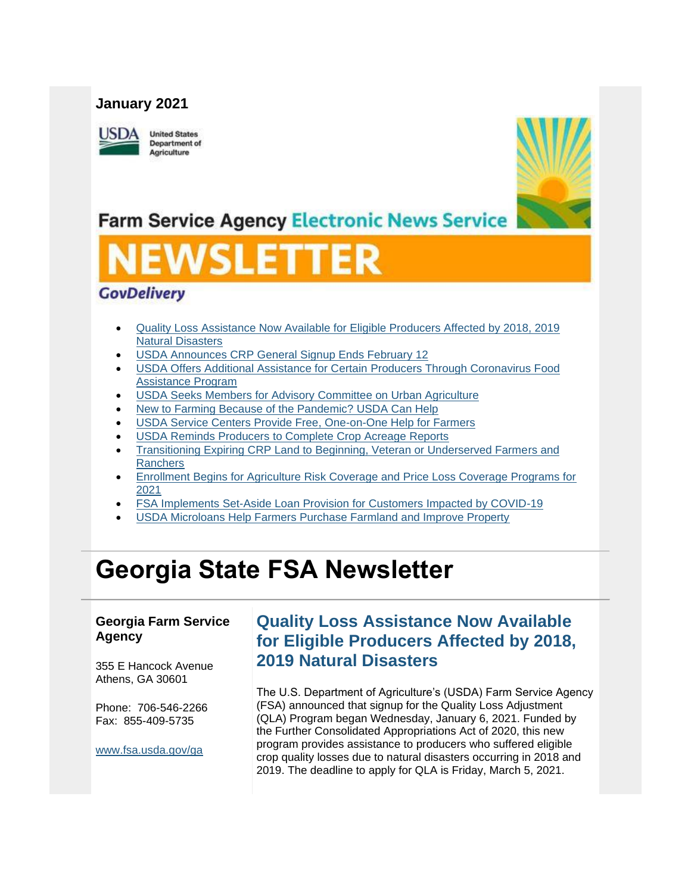### **January 2021**

USDA





## **Farm Service Agency Electronic News Service**

# **EWSLETTER**

### **GovDelivery**

- [Quality Loss Assistance Now Available for Eligible Producers Affected by 2018, 2019](#page-0-0)  [Natural Disasters](#page-0-0)
- [USDA Announces CRP General Signup Ends February 12](#page-2-0)
- [USDA Offers Additional Assistance for Certain Producers Through Coronavirus Food](#page-3-0)  [Assistance Program](#page-3-0)
- [USDA Seeks Members for Advisory Committee on Urban Agriculture](#page-5-0)
- [New to Farming Because of the Pandemic? USDA Can Help](#page-5-1)
- [USDA Service Centers Provide Free, One-on-One Help for Farmers](#page-6-0)
- USDA Reminds Producers to Complete Crop Acreage Reports
- [Transitioning Expiring CRP Land to Beginning, Veteran or Underserved Farmers and](#page-8-0)  **[Ranchers](#page-8-0)**
- **Enrollment Begins for Agriculture Risk Coverage and Price Loss Coverage Programs for** [2021](#page-8-1)
- [FSA Implements Set-Aside Loan Provision for Customers Impacted by COVID-19](#page-10-0)
- [USDA Microloans Help Farmers Purchase Farmland and Improve Property](#page-11-0)

## **Georgia State FSA Newsletter**

#### **Georgia Farm Service Agency**

355 E Hancock Avenue Athens, GA 30601

Phone: 706-546-2266 Fax: 855-409-5735

[www.fsa.usda.gov/ga](https://gcc02.safelinks.protection.outlook.com/?url=http%3A%2F%2Fwww.fsa.usda.gov%2Fxx%3Futm_medium%3Demail%26utm_source%3Dgovdelivery&data=04%7C01%7C%7C2b8fb94a9f7d468be98c08d8bc83aa2a%7Ced5b36e701ee4ebc867ee03cfa0d4697%7C0%7C0%7C637466620966813989%7CUnknown%7CTWFpbGZsb3d8eyJWIjoiMC4wLjAwMDAiLCJQIjoiV2luMzIiLCJBTiI6Ik1haWwiLCJXVCI6Mn0%3D%7C1000&sdata=x81Bb58kyRow6k%2BNjlVX6KQAi53F22DX9Wf6%2FMJ3Wcw%3D&reserved=0)

## <span id="page-0-0"></span>**Quality Loss Assistance Now Available for Eligible Producers Affected by 2018, 2019 Natural Disasters**

The U.S. Department of Agriculture's (USDA) Farm Service Agency (FSA) announced that signup for the Quality Loss Adjustment (QLA) Program began Wednesday, January 6, 2021. Funded by the Further Consolidated Appropriations Act of 2020, this new program provides assistance to producers who suffered eligible crop quality losses due to natural disasters occurring in 2018 and 2019. The deadline to apply for QLA is Friday, March 5, 2021.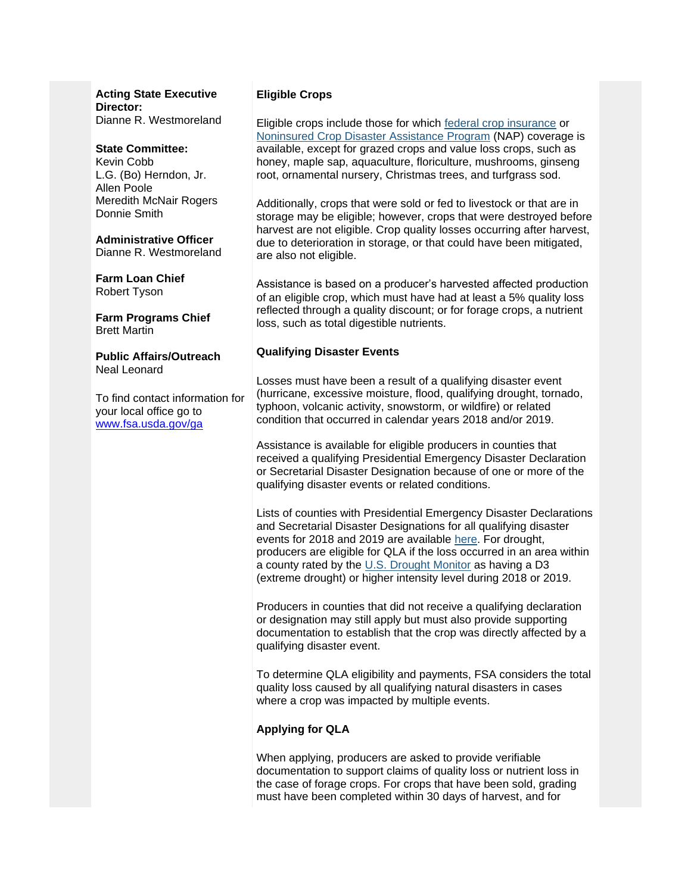#### **Acting State Executive Director:** Dianne R. Westmoreland

#### **State Committee:**

Kevin Cobb L.G. (Bo) Herndon, Jr. Allen Poole Meredith McNair Rogers Donnie Smith

#### **Administrative Officer**

Dianne R. Westmoreland

#### **Farm Loan Chief**

Robert Tyson

**Farm Programs Chief** Brett Martin

#### **Public Affairs/Outreach** Neal Leonard

To find contact information for your local office go to [www.fsa.usda.gov/ga](http://www.fsa.usda.gov/ga)

#### **Eligible Crops**

Eligible crops include those for which [federal crop insurance](https://gcc02.safelinks.protection.outlook.com/?url=http%3A%2F%2Fwww.rma.usda.gov%2F%3Futm_medium%3Demail%26utm_source%3Dgovdelivery&data=04%7C01%7C%7C2b8fb94a9f7d468be98c08d8bc83aa2a%7Ced5b36e701ee4ebc867ee03cfa0d4697%7C0%7C0%7C637466620966813989%7CUnknown%7CTWFpbGZsb3d8eyJWIjoiMC4wLjAwMDAiLCJQIjoiV2luMzIiLCJBTiI6Ik1haWwiLCJXVCI6Mn0%3D%7C1000&sdata=p1%2BW4Y8I27kLFBg31tvr3havGqHG2fhvSwLFgp1TON0%3D&reserved=0) or [Noninsured Crop Disaster Assistance Program](https://gcc02.safelinks.protection.outlook.com/?url=https%3A%2F%2Fwww.fsa.usda.gov%2Fprograms-and-services%2Fdisaster-assistance-program%2Fnoninsured-crop-disaster-assistance%2Findex%3Futm_medium%3Demail%26utm_source%3Dgovdelivery&data=04%7C01%7C%7C2b8fb94a9f7d468be98c08d8bc83aa2a%7Ced5b36e701ee4ebc867ee03cfa0d4697%7C0%7C0%7C637466620966823948%7CUnknown%7CTWFpbGZsb3d8eyJWIjoiMC4wLjAwMDAiLCJQIjoiV2luMzIiLCJBTiI6Ik1haWwiLCJXVCI6Mn0%3D%7C1000&sdata=a593Ve5LWXEPFICwxQBcs4s%2FGYiOLxTG%2FLaYvsLSn9E%3D&reserved=0) (NAP) coverage is available, except for grazed crops and value loss crops, such as honey, maple sap, aquaculture, floriculture, mushrooms, ginseng root, ornamental nursery, Christmas trees, and turfgrass sod.

Additionally, crops that were sold or fed to livestock or that are in storage may be eligible; however, crops that were destroyed before harvest are not eligible. Crop quality losses occurring after harvest, due to deterioration in storage, or that could have been mitigated, are also not eligible.

Assistance is based on a producer's harvested affected production of an eligible crop, which must have had at least a 5% quality loss reflected through a quality discount; or for forage crops, a nutrient loss, such as total digestible nutrients.

#### **Qualifying Disaster Events**

Losses must have been a result of a qualifying disaster event (hurricane, excessive moisture, flood, qualifying drought, tornado, typhoon, volcanic activity, snowstorm, or wildfire) or related condition that occurred in calendar years 2018 and/or 2019.

Assistance is available for eligible producers in counties that received a qualifying Presidential Emergency Disaster Declaration or Secretarial Disaster Designation because of one or more of the qualifying disaster events or related conditions.

Lists of counties with Presidential Emergency Disaster Declarations and Secretarial Disaster Designations for all qualifying disaster events for 2018 and 2019 are available [here.](https://www.farmers.gov/recover/whip-plus/eligible-counties?utm_medium=email&utm_source=govdelivery) For drought, producers are eligible for QLA if the loss occurred in an area within a county rated by the [U.S. Drought Monitor](https://gcc02.safelinks.protection.outlook.com/?url=https%3A%2F%2Fdroughtmonitor.unl.edu%2F%3Futm_medium%3Demail%26utm_source%3Dgovdelivery&data=04%7C01%7C%7C2b8fb94a9f7d468be98c08d8bc83aa2a%7Ced5b36e701ee4ebc867ee03cfa0d4697%7C0%7C0%7C637466620966823948%7CUnknown%7CTWFpbGZsb3d8eyJWIjoiMC4wLjAwMDAiLCJQIjoiV2luMzIiLCJBTiI6Ik1haWwiLCJXVCI6Mn0%3D%7C1000&sdata=AM9%2Fu3NO%2Ftte4OoI8cjGC%2Fu1ngcvIrLyUVtbagDFy78%3D&reserved=0) as having a D3 (extreme drought) or higher intensity level during 2018 or 2019.

Producers in counties that did not receive a qualifying declaration or designation may still apply but must also provide supporting documentation to establish that the crop was directly affected by a qualifying disaster event.

To determine QLA eligibility and payments, FSA considers the total quality loss caused by all qualifying natural disasters in cases where a crop was impacted by multiple events.

#### **Applying for QLA**

When applying, producers are asked to provide verifiable documentation to support claims of quality loss or nutrient loss in the case of forage crops. For crops that have been sold, grading must have been completed within 30 days of harvest, and for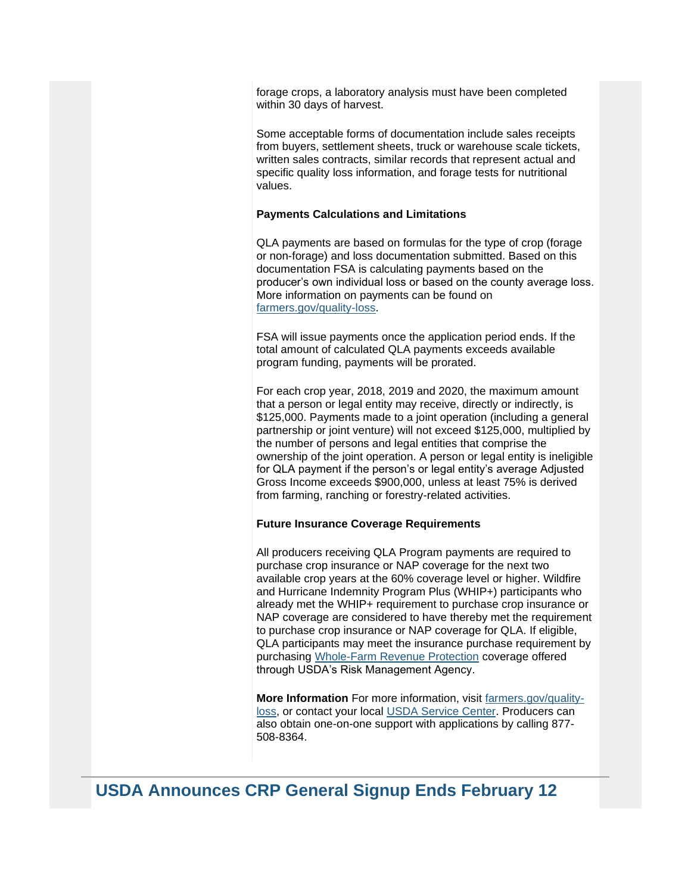forage crops, a laboratory analysis must have been completed within 30 days of harvest.

Some acceptable forms of documentation include sales receipts from buyers, settlement sheets, truck or warehouse scale tickets, written sales contracts, similar records that represent actual and specific quality loss information, and forage tests for nutritional values.

#### **Payments Calculations and Limitations**

QLA payments are based on formulas for the type of crop (forage or non-forage) and loss documentation submitted. Based on this documentation FSA is calculating payments based on the producer's own individual loss or based on the county average loss. More information on payments can be found on [farmers.gov/quality-loss.](http://www.farmers.gov/quality-loss?utm_medium=email&utm_source=govdelivery)

FSA will issue payments once the application period ends. If the total amount of calculated QLA payments exceeds available program funding, payments will be prorated.

For each crop year, 2018, 2019 and 2020, the maximum amount that a person or legal entity may receive, directly or indirectly, is \$125,000. Payments made to a joint operation (including a general partnership or joint venture) will not exceed \$125,000, multiplied by the number of persons and legal entities that comprise the ownership of the joint operation. A person or legal entity is ineligible for QLA payment if the person's or legal entity's average Adjusted Gross Income exceeds \$900,000, unless at least 75% is derived from farming, ranching or forestry-related activities.

#### **Future Insurance Coverage Requirements**

All producers receiving QLA Program payments are required to purchase crop insurance or NAP coverage for the next two available crop years at the 60% coverage level or higher. Wildfire and Hurricane Indemnity Program Plus (WHIP+) participants who already met the WHIP+ requirement to purchase crop insurance or NAP coverage are considered to have thereby met the requirement to purchase crop insurance or NAP coverage for QLA. If eligible, QLA participants may meet the insurance purchase requirement by purchasing [Whole-Farm Revenue Protection](https://gcc02.safelinks.protection.outlook.com/?url=https%3A%2F%2Fwww.rma.usda.gov%2Fen%2FPolicy-and-Procedure%2FInsurance-Plans%2FWhole-Farm-Revenue-Protection%3Futm_medium%3Demail%26utm_source%3Dgovdelivery&data=04%7C01%7C%7C2b8fb94a9f7d468be98c08d8bc83aa2a%7Ced5b36e701ee4ebc867ee03cfa0d4697%7C0%7C0%7C637466620966833906%7CUnknown%7CTWFpbGZsb3d8eyJWIjoiMC4wLjAwMDAiLCJQIjoiV2luMzIiLCJBTiI6Ik1haWwiLCJXVCI6Mn0%3D%7C1000&sdata=YjpXDTG5%2FJ6AI7o3VpyO1E6ksAnhtslNHFDP%2BdMXOrc%3D&reserved=0) coverage offered through USDA's Risk Management Agency.

<span id="page-2-0"></span>**More Information** For more information, visit [farmers.gov/quality](http://www.farmers.gov/quality-loss?utm_medium=email&utm_source=govdelivery)[loss,](http://www.farmers.gov/quality-loss?utm_medium=email&utm_source=govdelivery) or contact your local [USDA Service Center.](https://www.farmers.gov/service-center-locator?utm_medium=email&utm_source=govdelivery) Producers can also obtain one-on-one support with applications by calling 877- 508-8364.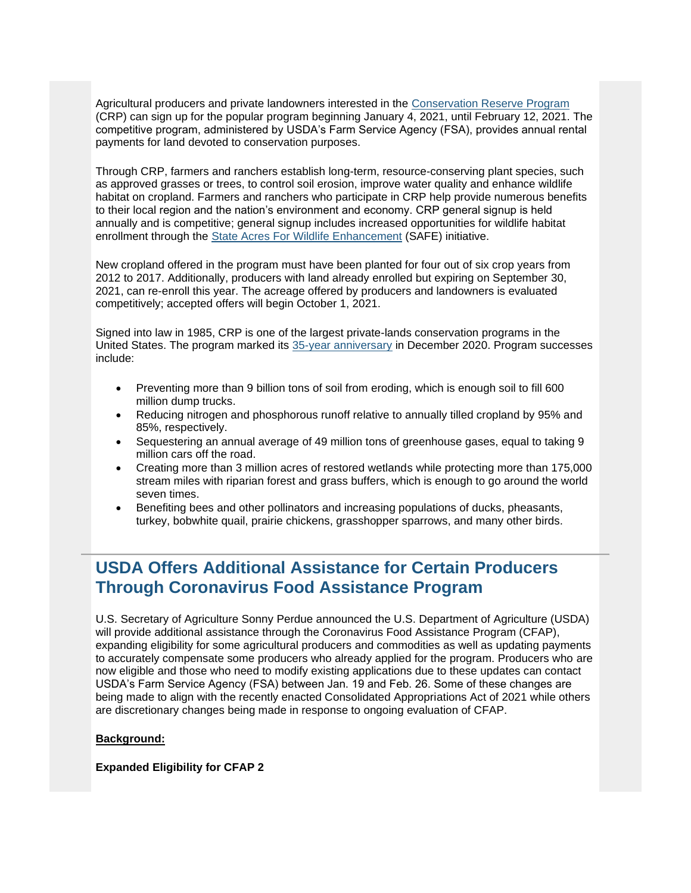Agricultural producers and private landowners interested in the [Conservation Reserve Program](https://gcc02.safelinks.protection.outlook.com/?data=04%7C01%7C%7C045da2a64d714757028308d8ac0c1ca6%7Ced5b36e701ee4ebc867ee03cfa0d4697%7C0%7C0%7C637448515311733394%7CUnknown%7CTWFpbGZsb3d8eyJWIjoiMC4wLjAwMDAiLCJQIjoiV2luMzIiLCJBTiI6Ik1haWwiLCJXVCI6Mn0%3D%7C1000&reserved=0&sdata=IVnFjmnVlyb5AbnU77aAeFnZQt3IRvRkBTBQT%2FUeU40%3D&url=https%3A%2F%2Fwww.fsa.usda.gov%2Fprograms-and-services%2Fconservation-programs%2Fconservation-reserve-program%2Findex%3Futm_medium%3Demail%26utm_source%3Dgovdelivery&utm_medium=email&utm_source=govdelivery) (CRP) can sign up for the popular program beginning January 4, 2021, until February 12, 2021. The competitive program, administered by USDA's Farm Service Agency (FSA), provides annual rental payments for land devoted to conservation purposes.

Through CRP, farmers and ranchers establish long-term, resource-conserving plant species, such as approved grasses or trees, to control soil erosion, improve water quality and enhance wildlife habitat on cropland. Farmers and ranchers who participate in CRP help provide numerous benefits to their local region and the nation's environment and economy. CRP general signup is held annually and is competitive; general signup includes increased opportunities for wildlife habitat enrollment through the [State Acres For Wildlife Enhancement](https://gcc02.safelinks.protection.outlook.com/?data=04%7C01%7C%7C045da2a64d714757028308d8ac0c1ca6%7Ced5b36e701ee4ebc867ee03cfa0d4697%7C0%7C0%7C637448515311733394%7CUnknown%7CTWFpbGZsb3d8eyJWIjoiMC4wLjAwMDAiLCJQIjoiV2luMzIiLCJBTiI6Ik1haWwiLCJXVCI6Mn0%3D%7C1000&reserved=0&sdata=BEXBpTMC3XxsKZ6UG63WJLMVngNvzu9n9XN69qBjqWs%3D&url=https%3A%2F%2Fwww.fsa.usda.gov%2FAssets%2FUSDA-FSA-Public%2Fusdafiles%2FFactSheets%2F2019%2Fcrp_safe_initiative-fact_sheet.pdf%3Futm_medium%3Demail%26utm_source%3Dgovdelivery&utm_medium=email&utm_source=govdelivery) (SAFE) initiative.

New cropland offered in the program must have been planted for four out of six crop years from 2012 to 2017. Additionally, producers with land already enrolled but expiring on September 30, 2021, can re-enroll this year. The acreage offered by producers and landowners is evaluated competitively; accepted offers will begin October 1, 2021.

Signed into law in 1985, CRP is one of the largest private-lands conservation programs in the United States. The program marked its [35-year anniversary](https://gcc02.safelinks.protection.outlook.com/?data=04%7C01%7C%7C045da2a64d714757028308d8ac0c1ca6%7Ced5b36e701ee4ebc867ee03cfa0d4697%7C0%7C0%7C637448515311743347%7CUnknown%7CTWFpbGZsb3d8eyJWIjoiMC4wLjAwMDAiLCJQIjoiV2luMzIiLCJBTiI6Ik1haWwiLCJXVCI6Mn0%3D%7C1000&reserved=0&sdata=dO4s3NtSfGpkjYniVSfpKtifO5tyqD488oP86lQVoC0%3D&url=https%3A%2F%2Fwww.fsa.usda.gov%2Fprograms-and-services%2Fconservation-programs%2Fconservation-reserve-program%2Fcrp-2020%2Findex%3Futm_medium%3Demail%26utm_source%3Dgovdelivery&utm_medium=email&utm_source=govdelivery) in December 2020. Program successes include:

- Preventing more than 9 billion tons of soil from eroding, which is enough soil to fill 600 million dump trucks.
- Reducing nitrogen and phosphorous runoff relative to annually tilled cropland by 95% and 85%, respectively.
- Sequestering an annual average of 49 million tons of greenhouse gases, equal to taking 9 million cars off the road.
- Creating more than 3 million acres of restored wetlands while protecting more than 175,000 stream miles with riparian forest and grass buffers, which is enough to go around the world seven times.
- Benefiting bees and other pollinators and increasing populations of ducks, pheasants, turkey, bobwhite quail, prairie chickens, grasshopper sparrows, and many other birds.

## <span id="page-3-0"></span>**USDA Offers Additional Assistance for Certain Producers Through Coronavirus Food Assistance Program**

U.S. Secretary of Agriculture Sonny Perdue announced the U.S. Department of Agriculture (USDA) will provide additional assistance through the Coronavirus Food Assistance Program (CFAP), expanding eligibility for some agricultural producers and commodities as well as updating payments to accurately compensate some producers who already applied for the program. Producers who are now eligible and those who need to modify existing applications due to these updates can contact USDA's Farm Service Agency (FSA) between Jan. 19 and Feb. 26. Some of these changes are being made to align with the recently enacted Consolidated Appropriations Act of 2021 while others are discretionary changes being made in response to ongoing evaluation of CFAP.

#### **Background:**

**Expanded Eligibility for CFAP 2**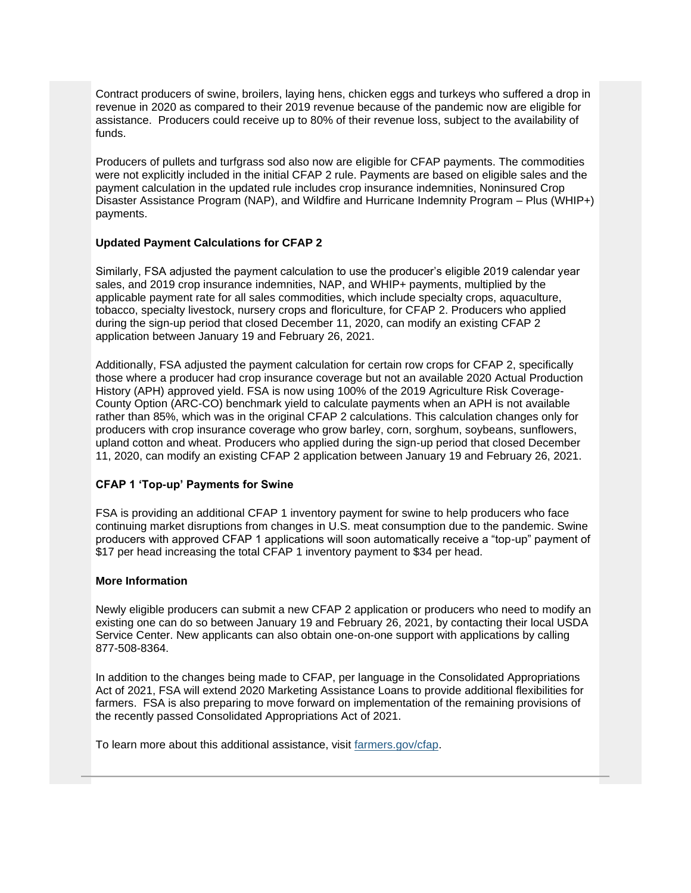Contract producers of swine, broilers, laying hens, chicken eggs and turkeys who suffered a drop in revenue in 2020 as compared to their 2019 revenue because of the pandemic now are eligible for assistance. Producers could receive up to 80% of their revenue loss, subject to the availability of funds.

Producers of pullets and turfgrass sod also now are eligible for CFAP payments. The commodities were not explicitly included in the initial CFAP 2 rule. Payments are based on eligible sales and the payment calculation in the updated rule includes crop insurance indemnities, Noninsured Crop Disaster Assistance Program (NAP), and Wildfire and Hurricane Indemnity Program – Plus (WHIP+) payments.

#### **Updated Payment Calculations for CFAP 2**

Similarly, FSA adjusted the payment calculation to use the producer's eligible 2019 calendar year sales, and 2019 crop insurance indemnities, NAP, and WHIP+ payments, multiplied by the applicable payment rate for all sales commodities, which include specialty crops, aquaculture, tobacco, specialty livestock, nursery crops and floriculture, for CFAP 2. Producers who applied during the sign-up period that closed December 11, 2020, can modify an existing CFAP 2 application between January 19 and February 26, 2021.

Additionally, FSA adjusted the payment calculation for certain row crops for CFAP 2, specifically those where a producer had crop insurance coverage but not an available 2020 Actual Production History (APH) approved yield. FSA is now using 100% of the 2019 Agriculture Risk Coverage-County Option (ARC-CO) benchmark yield to calculate payments when an APH is not available rather than 85%, which was in the original CFAP 2 calculations. This calculation changes only for producers with crop insurance coverage who grow barley, corn, sorghum, soybeans, sunflowers, upland cotton and wheat. Producers who applied during the sign-up period that closed December 11, 2020, can modify an existing CFAP 2 application between January 19 and February 26, 2021.

#### **CFAP 1 'Top-up' Payments for Swine**

FSA is providing an additional CFAP 1 inventory payment for swine to help producers who face continuing market disruptions from changes in U.S. meat consumption due to the pandemic. Swine producers with approved CFAP 1 applications will soon automatically receive a "top-up" payment of \$17 per head increasing the total CFAP 1 inventory payment to \$34 per head.

#### **More Information**

Newly eligible producers can submit a new CFAP 2 application or producers who need to modify an existing one can do so between January 19 and February 26, 2021, by contacting their local USDA Service Center. New applicants can also obtain one-on-one support with applications by calling 877-508-8364.

In addition to the changes being made to CFAP, per language in the Consolidated Appropriations Act of 2021, FSA will extend 2020 Marketing Assistance Loans to provide additional flexibilities for farmers. FSA is also preparing to move forward on implementation of the remaining provisions of the recently passed Consolidated Appropriations Act of 2021.

To learn more about this additional assistance, visit [farmers.gov/cfap.](http://www.farmers.gov/cfap?utm_medium=email&utm_source=govdelivery)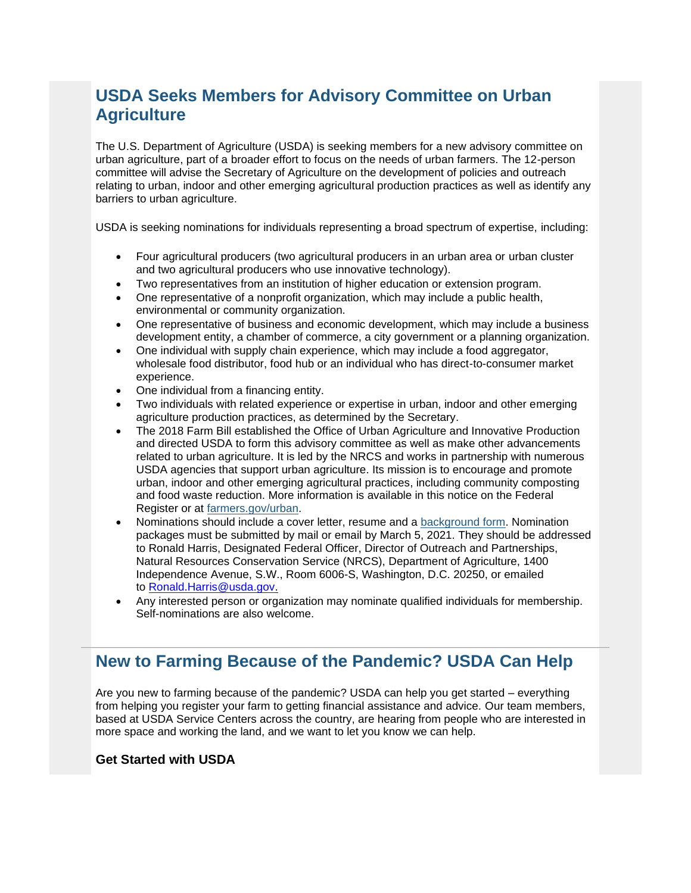## <span id="page-5-0"></span>**USDA Seeks Members for Advisory Committee on Urban Agriculture**

The U.S. Department of Agriculture (USDA) is seeking members for a new advisory committee on urban agriculture, part of a broader effort to focus on the needs of urban farmers. The 12-person committee will advise the Secretary of Agriculture on the development of policies and outreach relating to urban, indoor and other emerging agricultural production practices as well as identify any barriers to urban agriculture.

USDA is seeking nominations for individuals representing a broad spectrum of expertise, including:

- Four agricultural producers (two agricultural producers in an urban area or urban cluster and two agricultural producers who use innovative technology).
- Two representatives from an institution of higher education or extension program.
- One representative of a nonprofit organization, which may include a public health, environmental or community organization.
- One representative of business and economic development, which may include a business development entity, a chamber of commerce, a city government or a planning organization.
- One individual with supply chain experience, which may include a food aggregator, wholesale food distributor, food hub or an individual who has direct-to-consumer market experience.
- One individual from a financing entity.
- Two individuals with related experience or expertise in urban, indoor and other emerging agriculture production practices, as determined by the Secretary.
- The 2018 Farm Bill established the Office of Urban Agriculture and Innovative Production and directed USDA to form this advisory committee as well as make other advancements related to urban agriculture. It is led by the NRCS and works in partnership with numerous USDA agencies that support urban agriculture. Its mission is to encourage and promote urban, indoor and other emerging agricultural practices, including community composting and food waste reduction. More information is available in this notice on the Federal Register or at [farmers.gov/urban.](https://www.farmers.gov/manage/urban/opportunities?utm_medium=email&utm_source=govdelivery)
- Nominations should include a cover letter, resume and a [background form.](https://www.ocio.usda.gov/sites/default/files/docs/2012/AD-755-Approved_Master-exp-3.31.22_508.pdf?utm_medium=email&utm_source=govdelivery) Nomination packages must be submitted by mail or email by March 5, 2021. They should be addressed to Ronald Harris, Designated Federal Officer, Director of Outreach and Partnerships, Natural Resources Conservation Service (NRCS), Department of Agriculture, 1400 Independence Avenue, S.W., Room 6006-S, Washington, D.C. 20250, or emailed to [Ronald.Harris@usda.gov.](mailto:Ronald.Harris@usda.gov)
- Any interested person or organization may nominate qualified individuals for membership. Self-nominations are also welcome.

## <span id="page-5-1"></span>**New to Farming Because of the Pandemic? USDA Can Help**

Are you new to farming because of the pandemic? USDA can help you get started – everything from helping you register your farm to getting financial assistance and advice. Our team members, based at USDA Service Centers across the country, are hearing from people who are interested in more space and working the land, and we want to let you know we can help.

#### **Get Started with USDA**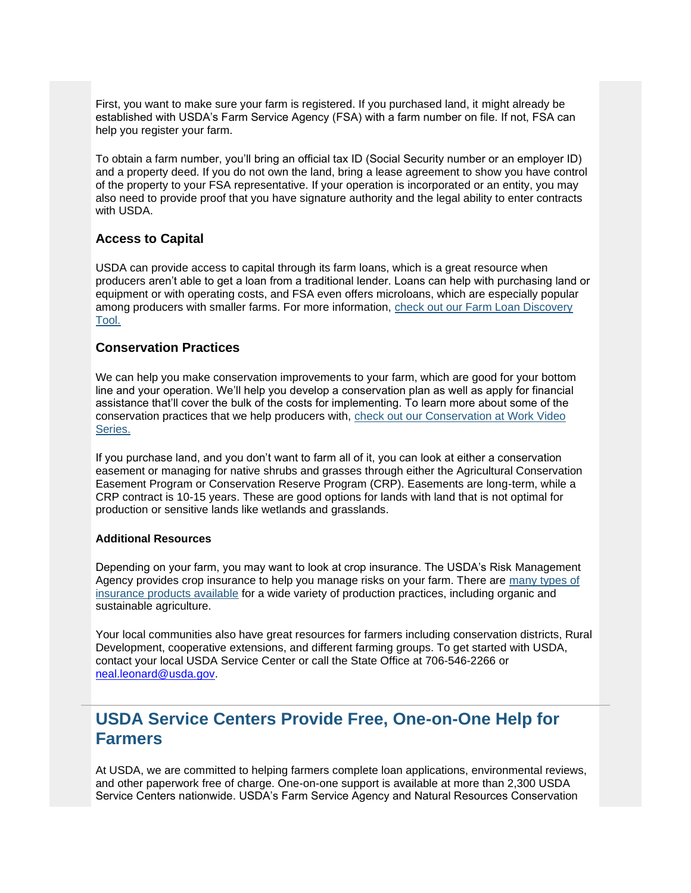First, you want to make sure your farm is registered. If you purchased land, it might already be established with USDA's Farm Service Agency (FSA) with a farm number on file. If not, FSA can help you register your farm.

To obtain a farm number, you'll bring an official tax ID (Social Security number or an employer ID) and a property deed. If you do not own the land, bring a lease agreement to show you have control of the property to your FSA representative. If your operation is incorporated or an entity, you may also need to provide proof that you have signature authority and the legal ability to enter contracts with USDA.

#### **Access to Capital**

USDA can provide access to capital through its farm loans, which is a great resource when producers aren't able to get a loan from a traditional lender. Loans can help with purchasing land or equipment or with operating costs, and FSA even offers microloans, which are especially popular among producers with smaller farms. For more information, [check out our Farm Loan Discovery](https://www.farmers.gov/fund/farm-loan-discovery-tool?utm_medium=email&utm_source=govdelivery)  [Tool.](https://www.farmers.gov/fund/farm-loan-discovery-tool?utm_medium=email&utm_source=govdelivery)

#### **Conservation Practices**

We can help you make conservation improvements to your farm, which are good for your bottom line and your operation. We'll help you develop a conservation plan as well as apply for financial assistance that'll cover the bulk of the costs for implementing. To learn more about some of the conservation practices that we help producers with, [check out our Conservation at Work Video](https://www.farmers.gov/conserve/conservation-at-work?utm_medium=email&utm_source=govdelivery)  [Series.](https://www.farmers.gov/conserve/conservation-at-work?utm_medium=email&utm_source=govdelivery)

If you purchase land, and you don't want to farm all of it, you can look at either a conservation easement or managing for native shrubs and grasses through either the Agricultural Conservation Easement Program or Conservation Reserve Program (CRP). Easements are long-term, while a CRP contract is 10-15 years. These are good options for lands with land that is not optimal for production or sensitive lands like wetlands and grasslands.

#### **Additional Resources**

Depending on your farm, you may want to look at crop insurance. The USDA's Risk Management Agency provides crop insurance to help you manage risks on your farm. There are [many types of](https://gcc02.safelinks.protection.outlook.com/?url=https%3A%2F%2Fwww.rma.usda.gov%2FTopics%2FBeginning-Farmers%3Futm_medium%3Demail%26utm_source%3Dgovdelivery&data=04%7C01%7C%7C2b8fb94a9f7d468be98c08d8bc83aa2a%7Ced5b36e701ee4ebc867ee03cfa0d4697%7C0%7C0%7C637466620966833906%7CUnknown%7CTWFpbGZsb3d8eyJWIjoiMC4wLjAwMDAiLCJQIjoiV2luMzIiLCJBTiI6Ik1haWwiLCJXVCI6Mn0%3D%7C1000&sdata=l8UgsUFcQelW4LHVzkib0fWKRtPjJMbbi7nmnWmx%2Bbc%3D&reserved=0)  [insurance products available](https://gcc02.safelinks.protection.outlook.com/?url=https%3A%2F%2Fwww.rma.usda.gov%2FTopics%2FBeginning-Farmers%3Futm_medium%3Demail%26utm_source%3Dgovdelivery&data=04%7C01%7C%7C2b8fb94a9f7d468be98c08d8bc83aa2a%7Ced5b36e701ee4ebc867ee03cfa0d4697%7C0%7C0%7C637466620966833906%7CUnknown%7CTWFpbGZsb3d8eyJWIjoiMC4wLjAwMDAiLCJQIjoiV2luMzIiLCJBTiI6Ik1haWwiLCJXVCI6Mn0%3D%7C1000&sdata=l8UgsUFcQelW4LHVzkib0fWKRtPjJMbbi7nmnWmx%2Bbc%3D&reserved=0) for a wide variety of production practices, including organic and sustainable agriculture.

Your local communities also have great resources for farmers including conservation districts, Rural Development, cooperative extensions, and different farming groups. To get started with USDA, contact your local USDA Service Center or call the State Office at 706-546-2266 or [neal.leonard@usda.gov.](mailto:neal.leonard@usda.gov)

## <span id="page-6-0"></span>**USDA Service Centers Provide Free, One-on-One Help for Farmers**

At USDA, we are committed to helping farmers complete loan applications, environmental reviews, and other paperwork free of charge. One-on-one support is available at more than 2,300 USDA Service Centers nationwide. USDA's Farm Service Agency and Natural Resources Conservation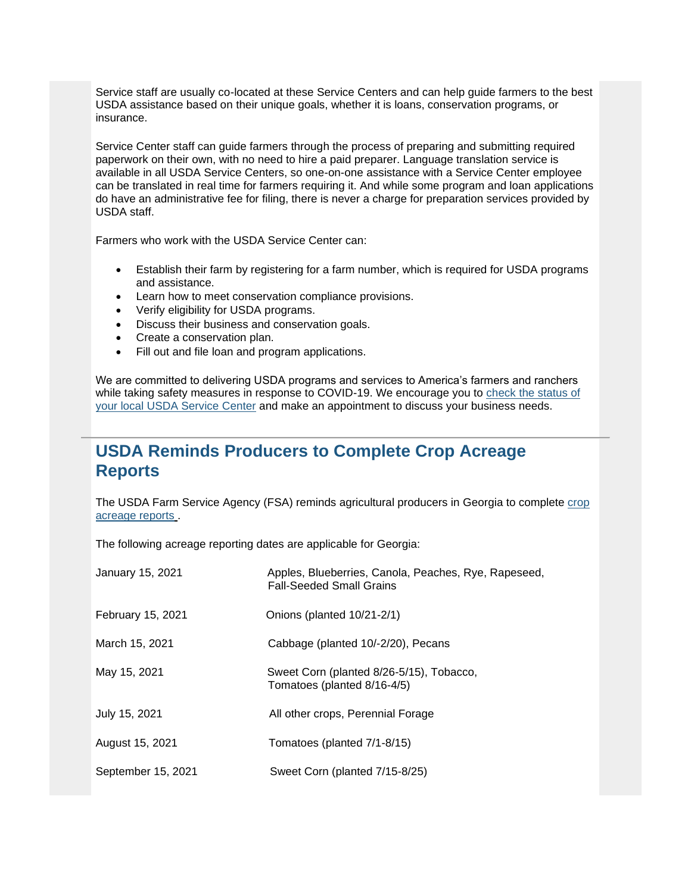Service staff are usually co-located at these Service Centers and can help guide farmers to the best USDA assistance based on their unique goals, whether it is loans, conservation programs, or insurance.

Service Center staff can guide farmers through the process of preparing and submitting required paperwork on their own, with no need to hire a paid preparer. Language translation service is available in all USDA Service Centers, so one-on-one assistance with a Service Center employee can be translated in real time for farmers requiring it. And while some program and loan applications do have an administrative fee for filing, there is never a charge for preparation services provided by USDA staff.

Farmers who work with the USDA Service Center can:

- Establish their farm by registering for a farm number, which is required for USDA programs and assistance.
- Learn how to meet conservation compliance provisions.
- Verify eligibility for USDA programs.
- Discuss their business and conservation goals.
- Create a conservation plan.
- Fill out and file loan and program applications.

We are committed to delivering USDA programs and services to America's farmers and ranchers while taking safety measures in response to COVID-19. We encourage you to [check the status of](https://www.farmers.gov/coronavirus/service-center-status?utm_medium=email&utm_source=govdelivery)  [your local USDA Service Center](https://www.farmers.gov/coronavirus/service-center-status?utm_medium=email&utm_source=govdelivery) and make an appointment to discuss your business needs.

## <span id="page-7-0"></span>**USDA Reminds Producers to Complete Crop Acreage Reports**

The USDA Farm Service Agency (FSA) reminds agricultural producers in Georgia to complete [crop](https://www.farmers.gov/crop-acreage-reports?utm_medium=email&utm_source=govdelivery)  [acreage reports](https://www.farmers.gov/crop-acreage-reports?utm_medium=email&utm_source=govdelivery) .

The following acreage reporting dates are applicable for Georgia:

| January 15, 2021   | Apples, Blueberries, Canola, Peaches, Rye, Rapeseed,<br><b>Fall-Seeded Small Grains</b> |
|--------------------|-----------------------------------------------------------------------------------------|
| February 15, 2021  | Onions (planted $10/21-2/1$ )                                                           |
| March 15, 2021     | Cabbage (planted 10/-2/20), Pecans                                                      |
| May 15, 2021       | Sweet Corn (planted 8/26-5/15), Tobacco,<br>Tomatoes (planted 8/16-4/5)                 |
| July 15, 2021      | All other crops, Perennial Forage                                                       |
| August 15, 2021    | Tomatoes (planted 7/1-8/15)                                                             |
| September 15, 2021 | Sweet Corn (planted 7/15-8/25)                                                          |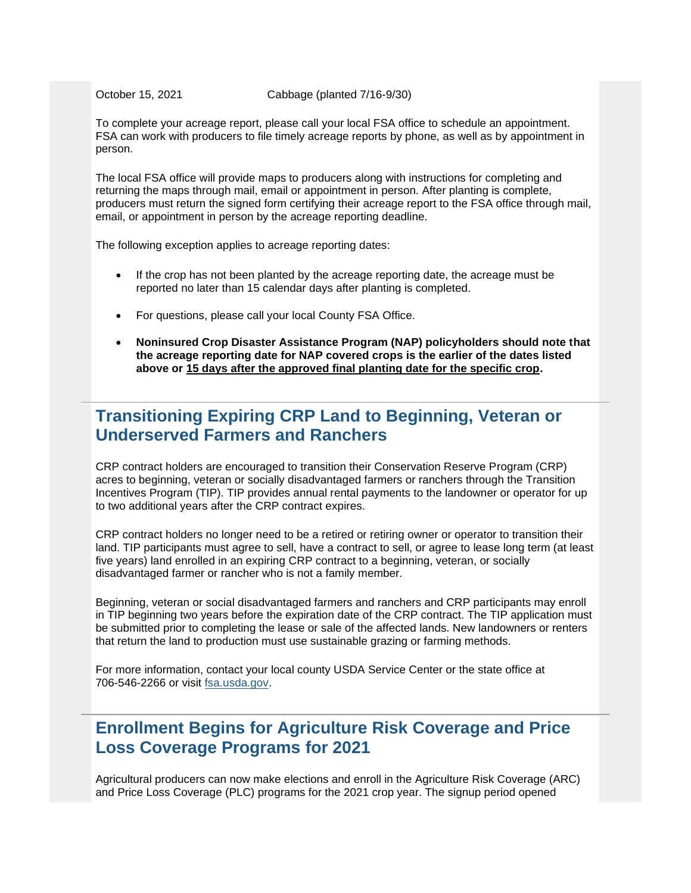October 15, 2021 Cabbage (planted 7/16-9/30)

To complete your acreage report, please call your local FSA office to schedule an appointment. FSA can work with producers to file timely acreage reports by phone, as well as by appointment in person.

The local FSA office will provide maps to producers along with instructions for completing and returning the maps through mail, email or appointment in person. After planting is complete, producers must return the signed form certifying their acreage report to the FSA office through mail, email, or appointment in person by the acreage reporting deadline.

The following exception applies to acreage reporting dates:

- If the crop has not been planted by the acreage reporting date, the acreage must be reported no later than 15 calendar days after planting is completed.
- For questions, please call your local County FSA Office.
- **Noninsured Crop Disaster Assistance Program (NAP) policyholders should note that the acreage reporting date for NAP covered crops is the earlier of the dates listed above or 15 days after the approved final planting date for the specific crop.**

## <span id="page-8-0"></span>**Transitioning Expiring CRP Land to Beginning, Veteran or Underserved Farmers and Ranchers**

CRP contract holders are encouraged to transition their Conservation Reserve Program (CRP) acres to beginning, veteran or socially disadvantaged farmers or ranchers through the Transition Incentives Program (TIP). TIP provides annual rental payments to the landowner or operator for up to two additional years after the CRP contract expires.

CRP contract holders no longer need to be a retired or retiring owner or operator to transition their land. TIP participants must agree to sell, have a contract to sell, or agree to lease long term (at least five years) land enrolled in an expiring CRP contract to a beginning, veteran, or socially disadvantaged farmer or rancher who is not a family member.

Beginning, veteran or social disadvantaged farmers and ranchers and CRP participants may enroll in TIP beginning two years before the expiration date of the CRP contract. The TIP application must be submitted prior to completing the lease or sale of the affected lands. New landowners or renters that return the land to production must use sustainable grazing or farming methods.

For more information, contact your local county USDA Service Center or the state office at 706-546-2266 or visit [fsa.usda.gov.](https://gcc02.safelinks.protection.outlook.com/?url=http%3A%2F%2Fwww.fsa.usda.gov%2F%3Futm_medium%3Demail%26utm_source%3Dgovdelivery&data=04%7C01%7C%7C2b8fb94a9f7d468be98c08d8bc83aa2a%7Ced5b36e701ee4ebc867ee03cfa0d4697%7C0%7C0%7C637466620966843861%7CUnknown%7CTWFpbGZsb3d8eyJWIjoiMC4wLjAwMDAiLCJQIjoiV2luMzIiLCJBTiI6Ik1haWwiLCJXVCI6Mn0%3D%7C1000&sdata=IcP8jnbj3ETPcJAKGR6DBHeUv4GwdWuXFtF7h8tDI7s%3D&reserved=0)

## <span id="page-8-1"></span>**Enrollment Begins for Agriculture Risk Coverage and Price Loss Coverage Programs for 2021**

Agricultural producers can now make elections and enroll in the Agriculture Risk Coverage (ARC) and Price Loss Coverage (PLC) programs for the 2021 crop year. The signup period opened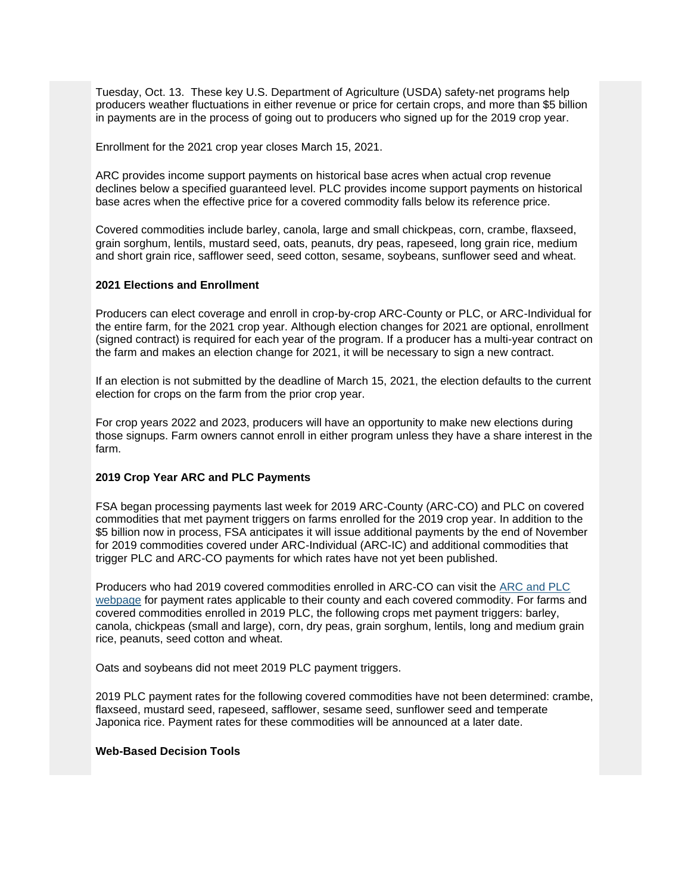Tuesday, Oct. 13. These key U.S. Department of Agriculture (USDA) safety-net programs help producers weather fluctuations in either revenue or price for certain crops, and more than \$5 billion in payments are in the process of going out to producers who signed up for the 2019 crop year.

Enrollment for the 2021 crop year closes March 15, 2021.

ARC provides income support payments on historical base acres when actual crop revenue declines below a specified guaranteed level. PLC provides income support payments on historical base acres when the effective price for a covered commodity falls below its reference price.

Covered commodities include barley, canola, large and small chickpeas, corn, crambe, flaxseed, grain sorghum, lentils, mustard seed, oats, peanuts, dry peas, rapeseed, long grain rice, medium and short grain rice, safflower seed, seed cotton, sesame, soybeans, sunflower seed and wheat.

#### **2021 Elections and Enrollment**

Producers can elect coverage and enroll in crop-by-crop ARC-County or PLC, or ARC-Individual for the entire farm, for the 2021 crop year. Although election changes for 2021 are optional, enrollment (signed contract) is required for each year of the program. If a producer has a multi-year contract on the farm and makes an election change for 2021, it will be necessary to sign a new contract.

If an election is not submitted by the deadline of March 15, 2021, the election defaults to the current election for crops on the farm from the prior crop year.

For crop years 2022 and 2023, producers will have an opportunity to make new elections during those signups. Farm owners cannot enroll in either program unless they have a share interest in the farm.

#### **2019 Crop Year ARC and PLC Payments**

FSA began processing payments last week for 2019 ARC-County (ARC-CO) and PLC on covered commodities that met payment triggers on farms enrolled for the 2019 crop year. In addition to the \$5 billion now in process, FSA anticipates it will issue additional payments by the end of November for 2019 commodities covered under ARC-Individual (ARC-IC) and additional commodities that trigger PLC and ARC-CO payments for which rates have not yet been published.

Producers who had 2019 covered commodities enrolled in ARC-CO can visit the [ARC and PLC](https://gcc02.safelinks.protection.outlook.com/?data=04%7C01%7C%7C7927dde7a5a140fd9e4108d87c2778f1%7Ced5b36e701ee4ebc867ee03cfa0d4697%7C0%7C0%7C637395856261304709%7CUnknown%7CTWFpbGZsb3d8eyJWIjoiMC4wLjAwMDAiLCJQIjoiV2luMzIiLCJBTiI6Ik1haWwiLCJXVCI6Mn0%3D%7C1000&reserved=0&sdata=QzhBRBCy3GGNER6tzczVmr6v1%2FHLD19Ap2g5qUFN1ZY%3D&url=https%3A%2F%2Fwww.fsa.usda.gov%2Fprograms-and-services%2Farcplc_program%2Findex%3Futm_medium%3Demail%26utm_source%3Dgovdelivery&utm_medium=email&utm_source=govdelivery)  [webpage](https://gcc02.safelinks.protection.outlook.com/?data=04%7C01%7C%7C7927dde7a5a140fd9e4108d87c2778f1%7Ced5b36e701ee4ebc867ee03cfa0d4697%7C0%7C0%7C637395856261304709%7CUnknown%7CTWFpbGZsb3d8eyJWIjoiMC4wLjAwMDAiLCJQIjoiV2luMzIiLCJBTiI6Ik1haWwiLCJXVCI6Mn0%3D%7C1000&reserved=0&sdata=QzhBRBCy3GGNER6tzczVmr6v1%2FHLD19Ap2g5qUFN1ZY%3D&url=https%3A%2F%2Fwww.fsa.usda.gov%2Fprograms-and-services%2Farcplc_program%2Findex%3Futm_medium%3Demail%26utm_source%3Dgovdelivery&utm_medium=email&utm_source=govdelivery) for payment rates applicable to their county and each covered commodity. For farms and covered commodities enrolled in 2019 PLC, the following crops met payment triggers: barley, canola, chickpeas (small and large), corn, dry peas, grain sorghum, lentils, long and medium grain rice, peanuts, seed cotton and wheat.

Oats and soybeans did not meet 2019 PLC payment triggers.

2019 PLC payment rates for the following covered commodities have not been determined: crambe, flaxseed, mustard seed, rapeseed, safflower, sesame seed, sunflower seed and temperate Japonica rice. Payment rates for these commodities will be announced at a later date.

#### **Web-Based Decision Tools**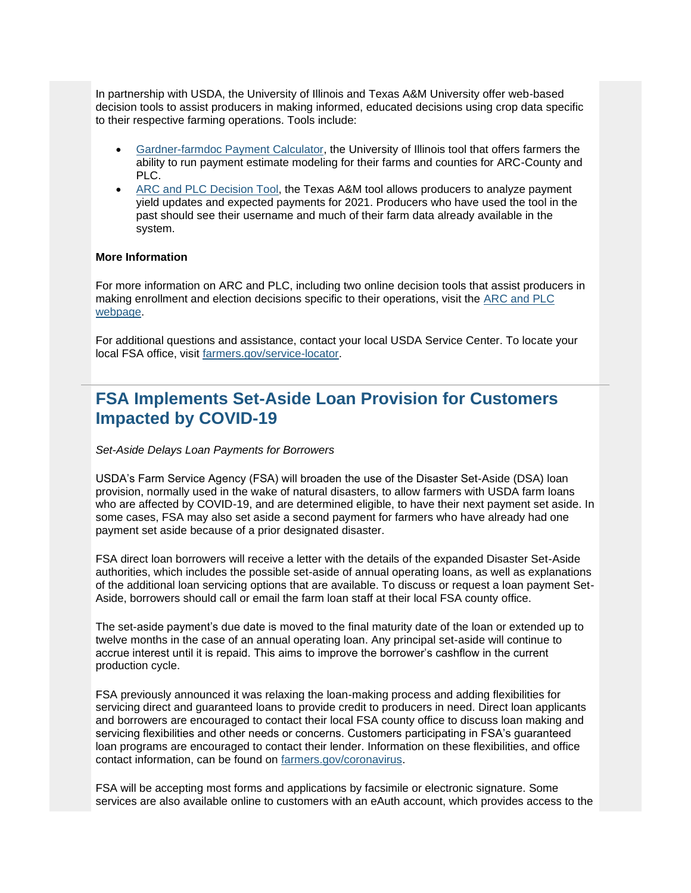In partnership with USDA, the University of Illinois and Texas A&M University offer web-based decision tools to assist producers in making informed, educated decisions using crop data specific to their respective farming operations. Tools include:

- [Gardner-farmdoc Payment Calculator,](https://gcc02.safelinks.protection.outlook.com/?data=04%7C01%7C%7C7927dde7a5a140fd9e4108d87c2778f1%7Ced5b36e701ee4ebc867ee03cfa0d4697%7C0%7C0%7C637395856261304709%7CUnknown%7CTWFpbGZsb3d8eyJWIjoiMC4wLjAwMDAiLCJQIjoiV2luMzIiLCJBTiI6Ik1haWwiLCJXVCI6Mn0%3D%7C1000&reserved=0&sdata=UuxxjcKvMO4DFsGqxOrxogQBPMAdQr7ZGO0NA0eiVa0%3D&url=https%3A%2F%2Ffarmdocdaily.illinois.edu%2F2019%2F08%2Fintroducing-the-gardner-farmdoc-payment-calculator.html%3Futm_medium%3Demail%26utm_source%3Dgovdelivery&utm_medium=email&utm_source=govdelivery) the University of Illinois tool that offers farmers the ability to run payment estimate modeling for their farms and counties for ARC-County and PLC.
- [ARC and PLC Decision Tool,](https://gcc02.safelinks.protection.outlook.com/?data=04%7C01%7C%7C7927dde7a5a140fd9e4108d87c2778f1%7Ced5b36e701ee4ebc867ee03cfa0d4697%7C0%7C0%7C637395856261314665%7CUnknown%7CTWFpbGZsb3d8eyJWIjoiMC4wLjAwMDAiLCJQIjoiV2luMzIiLCJBTiI6Ik1haWwiLCJXVCI6Mn0%3D%7C1000&reserved=0&sdata=OcD62mTpEITzyuI8DfbJvrDmeXWtt%2FYzVp9s5ngIyi0%3D&url=https%3A%2F%2Fwww.afpc.tamu.edu%2F%3Futm_medium%3Demail%26utm_source%3Dgovdelivery&utm_medium=email&utm_source=govdelivery) the Texas A&M tool allows producers to analyze payment yield updates and expected payments for 2021. Producers who have used the tool in the past should see their username and much of their farm data already available in the system.

#### **More Information**

For more information on ARC and PLC, including two online decision tools that assist producers in making enrollment and election decisions specific to their operations, visit the [ARC and PLC](https://gcc02.safelinks.protection.outlook.com/?data=04%7C01%7C%7C7927dde7a5a140fd9e4108d87c2778f1%7Ced5b36e701ee4ebc867ee03cfa0d4697%7C0%7C0%7C637395856261314665%7CUnknown%7CTWFpbGZsb3d8eyJWIjoiMC4wLjAwMDAiLCJQIjoiV2luMzIiLCJBTiI6Ik1haWwiLCJXVCI6Mn0%3D%7C1000&reserved=0&sdata=YXHrSHnQl%2BhEhq%2FzLf6bZeS0ik4gc4k22Knh8GDgbxI%3D&url=https%3A%2F%2Fwww.fsa.usda.gov%2Fprograms-and-services%2Farcplc_program%2Findex%3Futm_medium%3Demail%26utm_source%3Dgovdelivery&utm_medium=email&utm_source=govdelivery)  [webpage.](https://gcc02.safelinks.protection.outlook.com/?data=04%7C01%7C%7C7927dde7a5a140fd9e4108d87c2778f1%7Ced5b36e701ee4ebc867ee03cfa0d4697%7C0%7C0%7C637395856261314665%7CUnknown%7CTWFpbGZsb3d8eyJWIjoiMC4wLjAwMDAiLCJQIjoiV2luMzIiLCJBTiI6Ik1haWwiLCJXVCI6Mn0%3D%7C1000&reserved=0&sdata=YXHrSHnQl%2BhEhq%2FzLf6bZeS0ik4gc4k22Knh8GDgbxI%3D&url=https%3A%2F%2Fwww.fsa.usda.gov%2Fprograms-and-services%2Farcplc_program%2Findex%3Futm_medium%3Demail%26utm_source%3Dgovdelivery&utm_medium=email&utm_source=govdelivery)

For additional questions and assistance, contact your local USDA Service Center. To locate your local FSA office, visit [farmers.gov/service-locator.](https://www.farmers.gov/service-center-locator?utm_medium=email&utm_source=govdelivery)

## <span id="page-10-0"></span>**FSA Implements Set-Aside Loan Provision for Customers Impacted by COVID-19**

#### *Set-Aside Delays Loan Payments for Borrowers*

USDA's Farm Service Agency (FSA) will broaden the use of the Disaster Set-Aside (DSA) loan provision, normally used in the wake of natural disasters, to allow farmers with USDA farm loans who are affected by COVID-19, and are determined eligible, to have their next payment set aside. In some cases, FSA may also set aside a second payment for farmers who have already had one payment set aside because of a prior designated disaster.

FSA direct loan borrowers will receive a letter with the details of the expanded Disaster Set-Aside authorities, which includes the possible set-aside of annual operating loans, as well as explanations of the additional loan servicing options that are available. To discuss or request a loan payment Set-Aside, borrowers should call or email the farm loan staff at their local FSA county office.

The set-aside payment's due date is moved to the final maturity date of the loan or extended up to twelve months in the case of an annual operating loan. Any principal set-aside will continue to accrue interest until it is repaid. This aims to improve the borrower's cashflow in the current production cycle.

FSA previously announced it was relaxing the loan-making process and adding flexibilities for servicing direct and guaranteed loans to provide credit to producers in need. Direct loan applicants and borrowers are encouraged to contact their local FSA county office to discuss loan making and servicing flexibilities and other needs or concerns. Customers participating in FSA's guaranteed loan programs are encouraged to contact their lender. Information on these flexibilities, and office contact information, can be found on [farmers.gov/coronavirus.](http://www.farmers.gov/coronavirus?utm_medium=email&utm_source=govdelivery)

FSA will be accepting most forms and applications by facsimile or electronic signature. Some services are also available online to customers with an eAuth account, which provides access to the